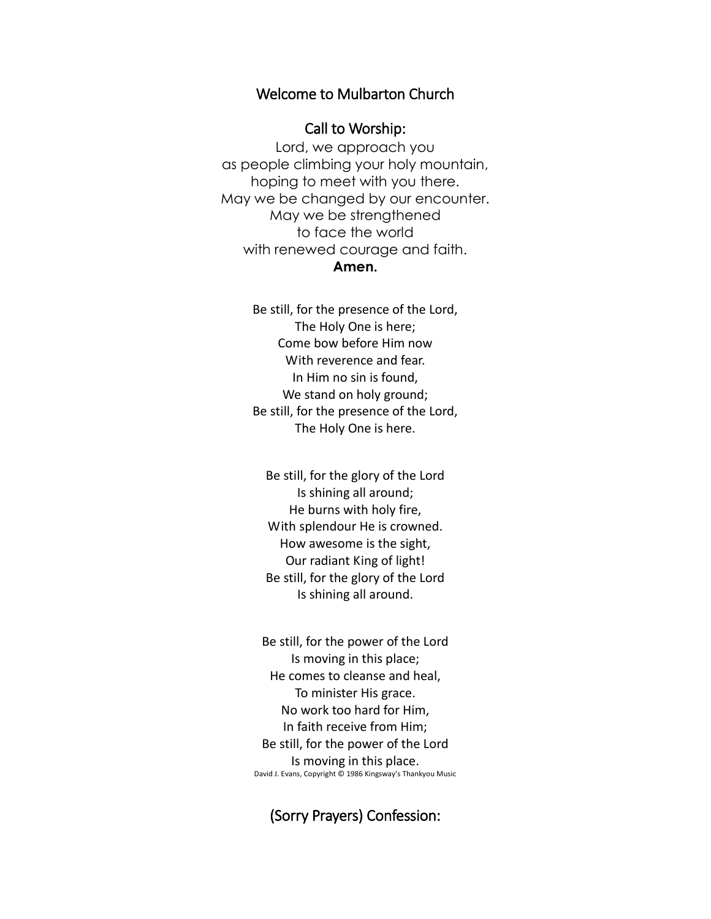### Welcome to Mulbarton Church

### Call to Worship:

Lord, we approach you as people climbing your holy mountain, hoping to meet with you there. May we be changed by our encounter. May we be strengthened to face the world with renewed courage and faith. **Amen.**

> Be still, for the presence of the Lord, The Holy One is here; Come bow before Him now With reverence and fear. In Him no sin is found, We stand on holy ground; Be still, for the presence of the Lord, The Holy One is here.

Be still, for the glory of the Lord Is shining all around; He burns with holy fire, With splendour He is crowned. How awesome is the sight, Our radiant King of light! Be still, for the glory of the Lord Is shining all around.

Be still, for the power of the Lord Is moving in this place; He comes to cleanse and heal, To minister His grace. No work too hard for Him, In faith receive from Him; Be still, for the power of the Lord Is moving in this place. David J. Evans, Copyright © 1986 Kingsway's Thankyou Music

(Sorry Prayers) Confession: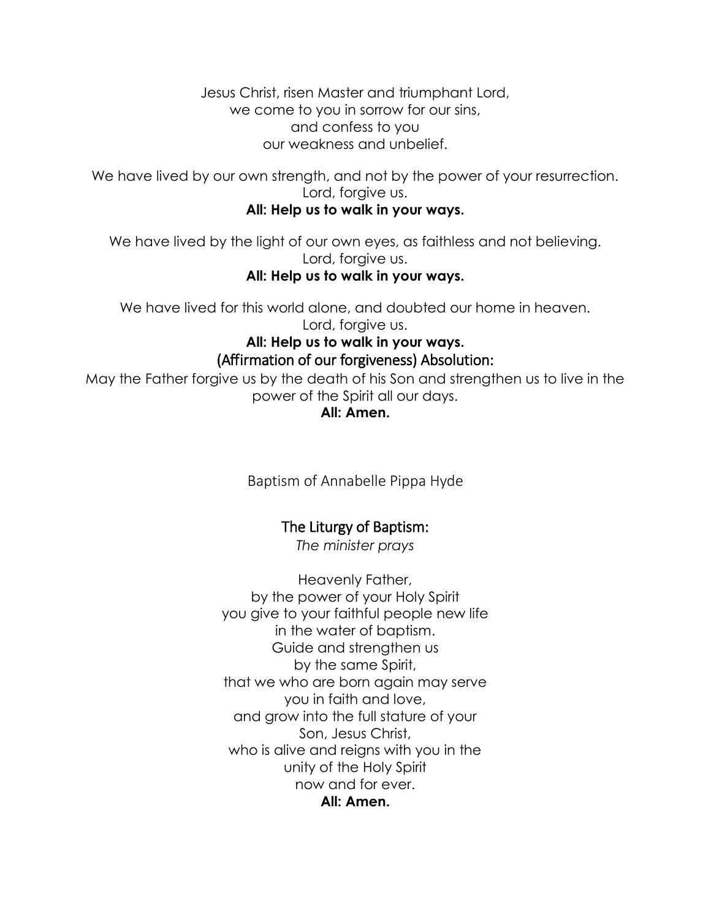Jesus Christ, risen Master and triumphant Lord, we come to you in sorrow for our sins, and confess to you our weakness and unbelief.

We have lived by our own strength, and not by the power of your resurrection. Lord, forgive us.

### **All: Help us to walk in your ways.**

We have lived by the light of our own eyes, as faithless and not believing. Lord, forgive us.

### **All: Help us to walk in your ways.**

We have lived for this world alone, and doubted our home in heaven.

Lord, forgive us.

# **All: Help us to walk in your ways.**

## (Affirmation of our forgiveness) Absolution:

May the Father forgive us by the death of his Son and strengthen us to live in the power of the Spirit all our days.

### **All: Amen.**

Baptism of Annabelle Pippa Hyde

# The Liturgy of Baptism:

*The minister prays*

Heavenly Father, by the power of your Holy Spirit you give to your faithful people new life in the water of baptism. Guide and strengthen us by the same Spirit, that we who are born again may serve you in faith and love, and grow into the full stature of your Son, Jesus Christ, who is alive and reigns with you in the unity of the Holy Spirit now and for ever. **All: Amen.**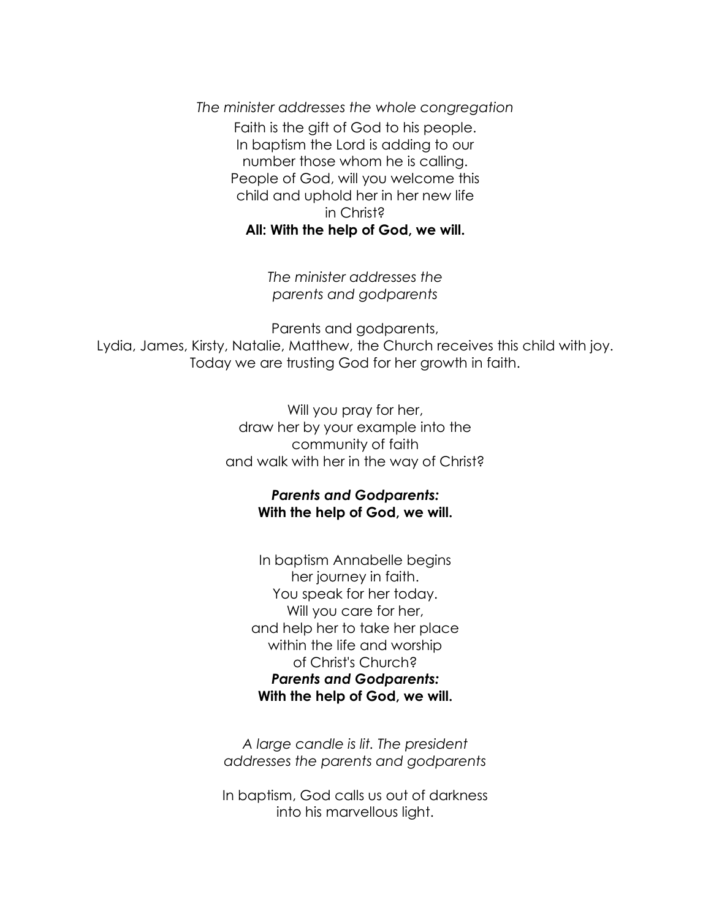*The minister addresses the whole congregation*

Faith is the gift of God to his people. In baptism the Lord is adding to our number those whom he is calling. People of God, will you welcome this child and uphold her in her new life in Christ? **All: With the help of God, we will.**

> *The minister addresses the parents and godparents*

Parents and godparents, Lydia, James, Kirsty, Natalie, Matthew, the Church receives this child with joy. Today we are trusting God for her growth in faith.

> Will you pray for her, draw her by your example into the community of faith and walk with her in the way of Christ?

### *Parents and Godparents:* **With the help of God, we will.**

In baptism Annabelle begins her journey in faith. You speak for her today. Will you care for her, and help her to take her place within the life and worship of Christ's Church? *Parents and Godparents:* **With the help of God, we will.**

*A large candle is lit. The president addresses the parents and godparents*

In baptism, God calls us out of darkness into his marvellous light.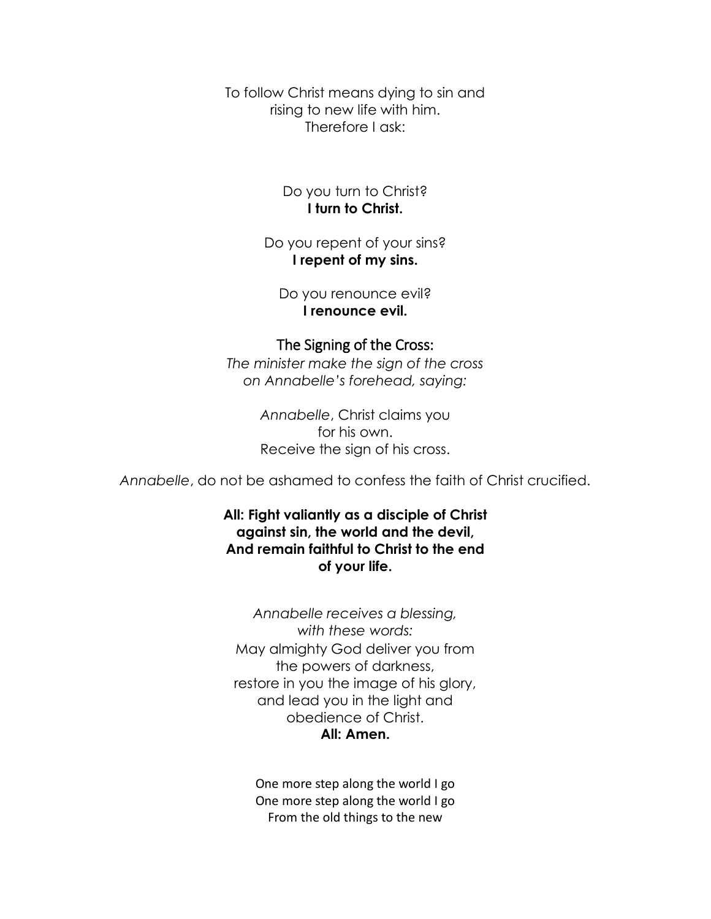To follow Christ means dying to sin and rising to new life with him. Therefore I ask:

### Do you turn to Christ? **I turn to Christ.**

Do you repent of your sins? **I repent of my sins.**

Do you renounce evil? **I renounce evil.**

### The Signing of the Cross:

*The minister make the sign of the cross on Annabelle's forehead, saying:*

> *Annabelle*, Christ claims you for his own. Receive the sign of his cross.

*Annabelle*, do not be ashamed to confess the faith of Christ crucified.

### **All: Fight valiantly as a disciple of Christ against sin, the world and the devil, And remain faithful to Christ to the end of your life.**

*Annabelle receives a blessing, with these words:* May almighty God deliver you from the powers of darkness, restore in you the image of his glory, and lead you in the light and obedience of Christ. **All: Amen.**

One more step along the world I go One more step along the world I go From the old things to the new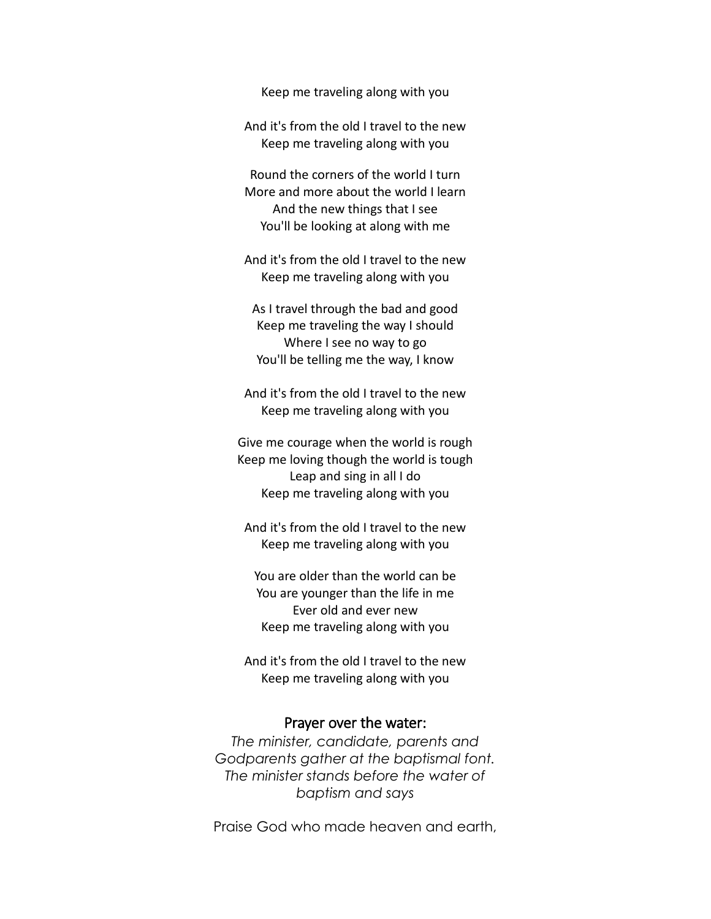Keep me traveling along with you

And it's from the old I travel to the new Keep me traveling along with you

Round the corners of the world I turn More and more about the world I learn And the new things that I see You'll be looking at along with me

And it's from the old I travel to the new Keep me traveling along with you

As I travel through the bad and good Keep me traveling the way I should Where I see no way to go You'll be telling me the way, I know

And it's from the old I travel to the new Keep me traveling along with you

Give me courage when the world is rough Keep me loving though the world is tough Leap and sing in all I do Keep me traveling along with you

And it's from the old I travel to the new Keep me traveling along with you

You are older than the world can be You are younger than the life in me Ever old and ever new Keep me traveling along with you

And it's from the old I travel to the new Keep me traveling along with you

#### Prayer over the water:

*The minister, candidate, parents and Godparents gather at the baptismal font. The minister stands before the water of baptism and says*

Praise God who made heaven and earth,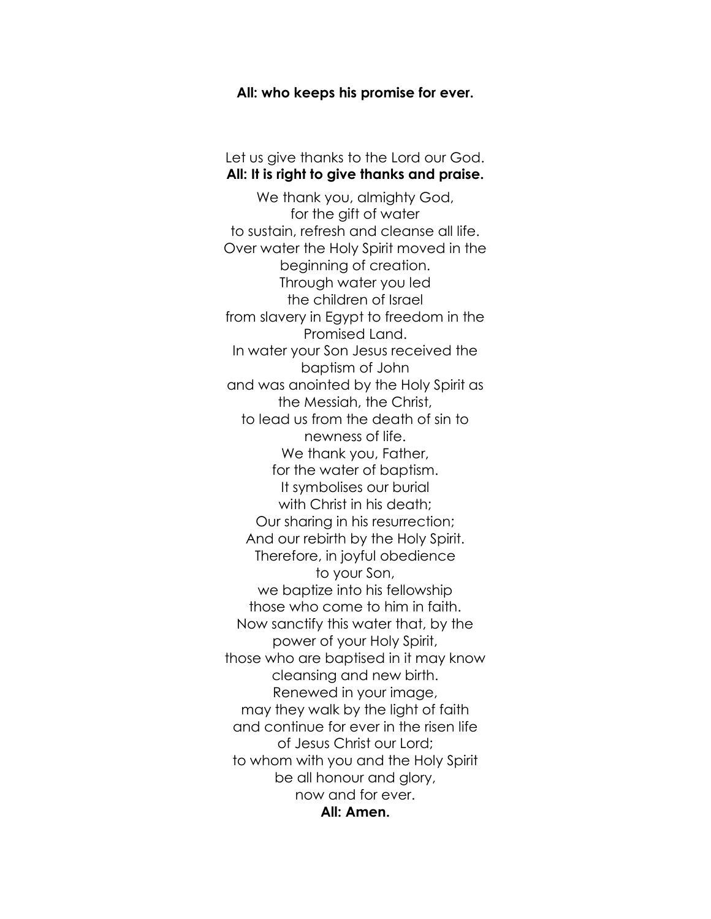#### **All: who keeps his promise for ever.**

Let us give thanks to the Lord our God. **All: It is right to give thanks and praise.**

We thank you, almighty God, for the gift of water to sustain, refresh and cleanse all life. Over water the Holy Spirit moved in the beginning of creation. Through water you led the children of Israel from slavery in Egypt to freedom in the Promised Land. In water your Son Jesus received the baptism of John and was anointed by the Holy Spirit as the Messiah, the Christ, to lead us from the death of sin to newness of life. We thank you, Father, for the water of baptism. It symbolises our burial with Christ in his death; Our sharing in his resurrection; And our rebirth by the Holy Spirit. Therefore, in joyful obedience to your Son, we baptize into his fellowship those who come to him in faith. Now sanctify this water that, by the power of your Holy Spirit, those who are baptised in it may know cleansing and new birth. Renewed in your image, may they walk by the light of faith and continue for ever in the risen life of Jesus Christ our Lord; to whom with you and the Holy Spirit be all honour and glory, now and for ever. **All: Amen.**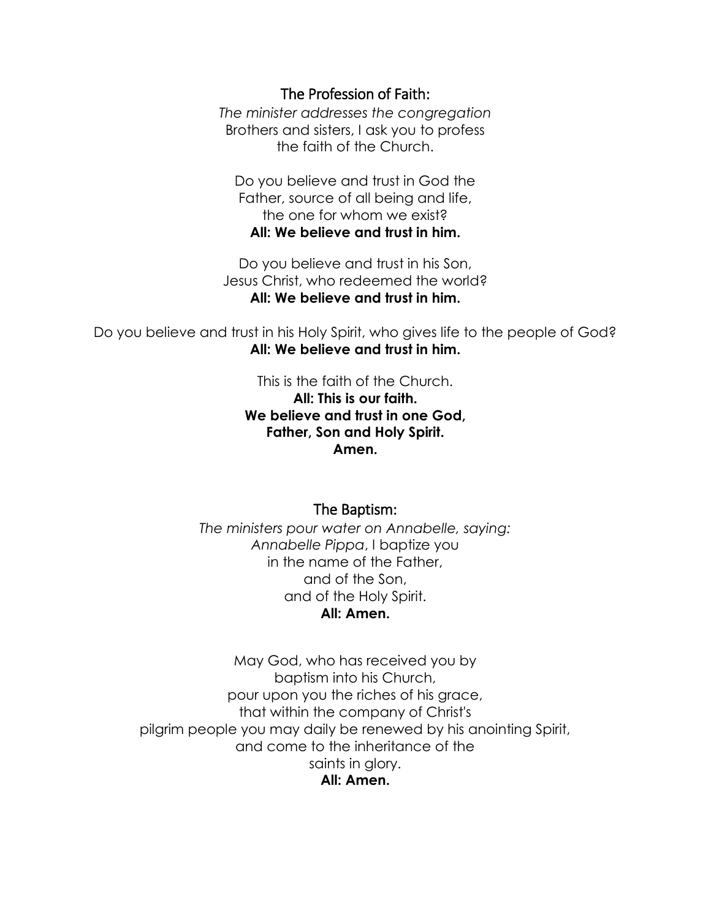### The Profession of Faith:

*The minister addresses the congregation* Brothers and sisters, I ask you to profess the faith of the Church.

Do you believe and trust in God the Father, source of all being and life, the one for whom we exist? **All: We believe and trust in him.**

Do you believe and trust in his Son, Jesus Christ, who redeemed the world? **All: We believe and trust in him.**

Do you believe and trust in his Holy Spirit, who gives life to the people of God? **All: We believe and trust in him.**

> This is the faith of the Church. **All: This is our faith. We believe and trust in one God, Father, Son and Holy Spirit. Amen.**

### The Baptism:

*The ministers pour water on Annabelle, saying: Annabelle Pippa*, I baptize you in the name of the Father, and of the Son, and of the Holy Spirit. **All: Amen.**

May God, who has received you by baptism into his Church, pour upon you the riches of his grace, that within the company of Christ's pilgrim people you may daily be renewed by his anointing Spirit, and come to the inheritance of the saints in glory. **All: Amen.**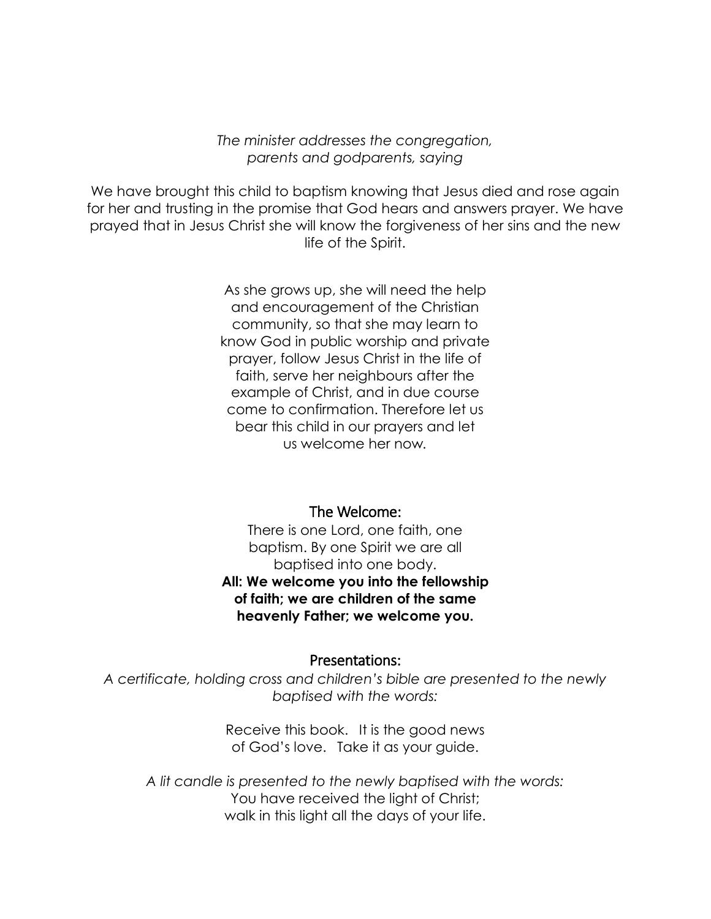### *The minister addresses the congregation, parents and godparents, saying*

We have brought this child to baptism knowing that Jesus died and rose again for her and trusting in the promise that God hears and answers prayer. We have prayed that in Jesus Christ she will know the forgiveness of her sins and the new life of the Spirit.

> As she grows up, she will need the help and encouragement of the Christian community, so that she may learn to know God in public worship and private prayer, follow Jesus Christ in the life of faith, serve her neighbours after the example of Christ, and in due course come to confirmation. Therefore let us bear this child in our prayers and let us welcome her now*.*

### The Welcome:

There is one Lord, one faith, one baptism. By one Spirit we are all baptised into one body. **All: We welcome you into the fellowship of faith; we are children of the same heavenly Father; we welcome you.**

#### Presentations:

*A certificate, holding cross and children's bible are presented to the newly baptised with the words:*

> Receive this book. It is the good news of God's love. Take it as your guide.

*A lit candle is presented to the newly baptised with the words:* You have received the light of Christ; walk in this light all the days of your life.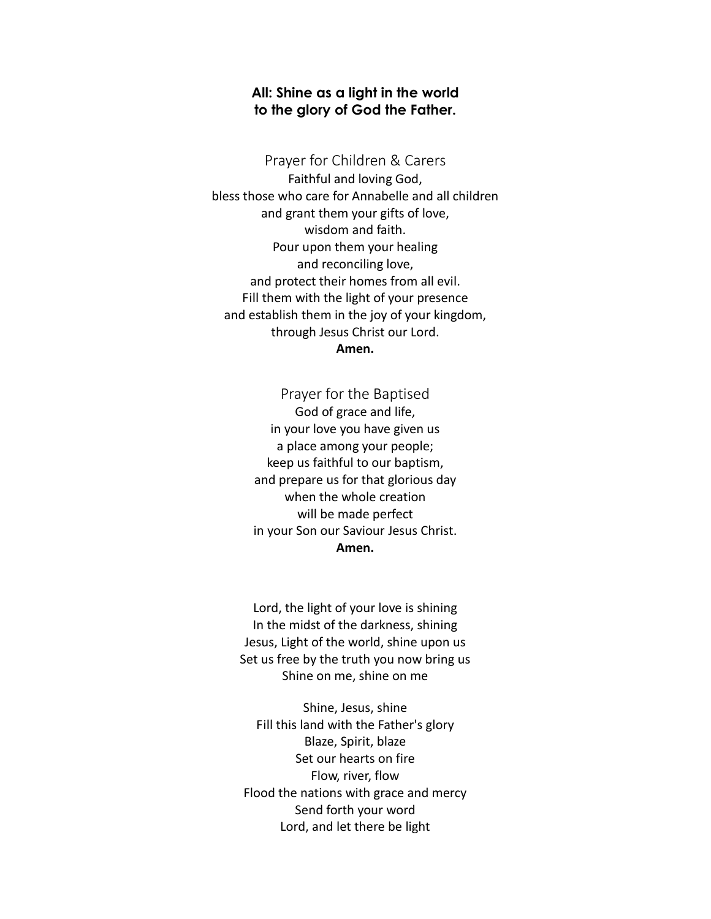### **All: Shine as a light in the world to the glory of God the Father.**

Prayer for Children & Carers Faithful and loving God, bless those who care for Annabelle and all children and grant them your gifts of love, wisdom and faith. Pour upon them your healing and reconciling love, and protect their homes from all evil. Fill them with the light of your presence and establish them in the joy of your kingdom, through Jesus Christ our Lord. **Amen.**

> Prayer for the Baptised God of grace and life, in your love you have given us a place among your people; keep us faithful to our baptism, and prepare us for that glorious day when the whole creation will be made perfect in your Son our Saviour Jesus Christ. **Amen.**

Lord, the light of your love is shining In the midst of the darkness, shining Jesus, Light of the world, shine upon us Set us free by the truth you now bring us Shine on me, shine on me

Shine, Jesus, shine Fill this land with the Father's glory Blaze, Spirit, blaze Set our hearts on fire Flow, river, flow Flood the nations with grace and mercy Send forth your word Lord, and let there be light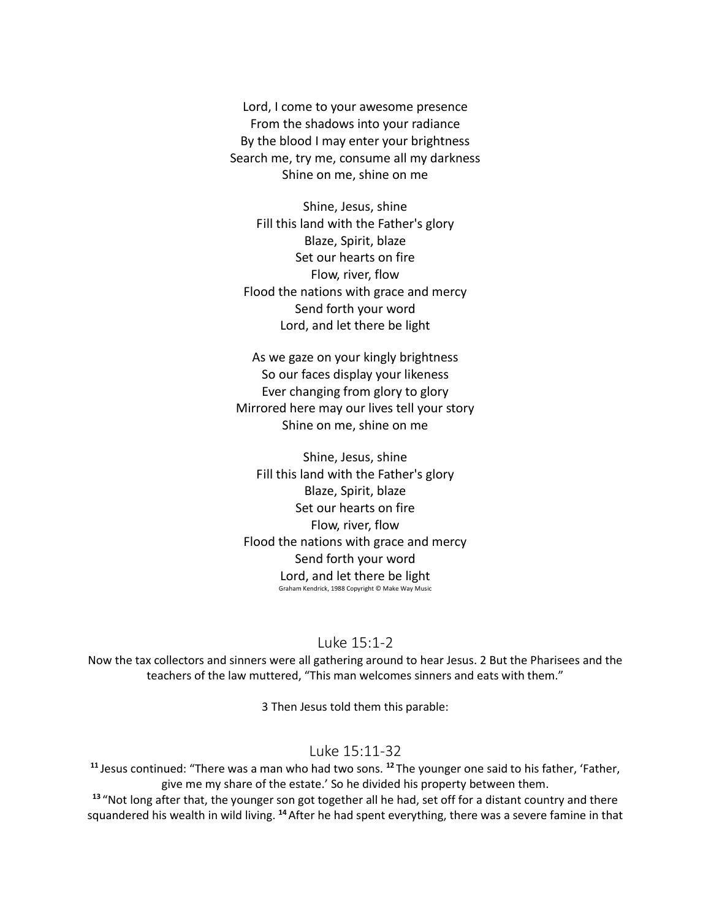Lord, I come to your awesome presence From the shadows into your radiance By the blood I may enter your brightness Search me, try me, consume all my darkness Shine on me, shine on me

Shine, Jesus, shine Fill this land with the Father's glory Blaze, Spirit, blaze Set our hearts on fire Flow, river, flow Flood the nations with grace and mercy Send forth your word Lord, and let there be light

As we gaze on your kingly brightness So our faces display your likeness Ever changing from glory to glory Mirrored here may our lives tell your story Shine on me, shine on me

Shine, Jesus, shine Fill this land with the Father's glory Blaze, Spirit, blaze Set our hearts on fire Flow, river, flow Flood the nations with grace and mercy Send forth your word Lord, and let there be light Graham Kendrick, 1988 Copyright © Make Way Music

#### Luke 15:1-2

Now the tax collectors and sinners were all gathering around to hear Jesus. 2 But the Pharisees and the teachers of the law muttered, "This man welcomes sinners and eats with them."

3 Then Jesus told them this parable:

#### Luke 15:11-32

**<sup>11</sup>** Jesus continued: "There was a man who had two sons. **<sup>12</sup>** The younger one said to his father, 'Father, give me my share of the estate.' So he divided his property between them.

**<sup>13</sup>** "Not long after that, the younger son got together all he had, set off for a distant country and there squandered his wealth in wild living. **<sup>14</sup>**After he had spent everything, there was a severe famine in that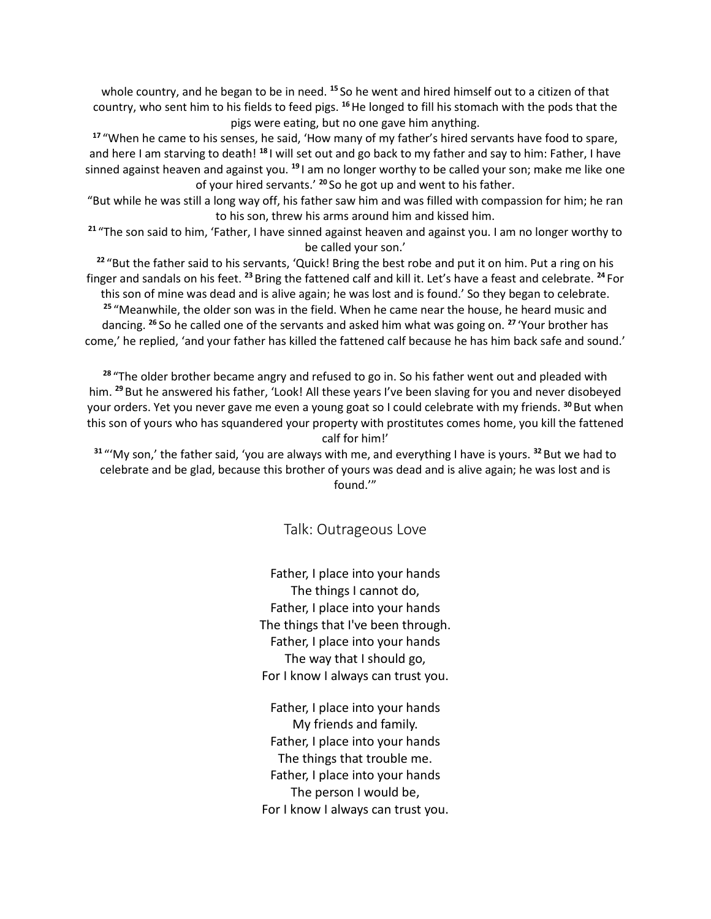whole country, and he began to be in need. **<sup>15</sup>** So he went and hired himself out to a citizen of that country, who sent him to his fields to feed pigs. **<sup>16</sup>**He longed to fill his stomach with the pods that the pigs were eating, but no one gave him anything.

**<sup>17</sup>** "When he came to his senses, he said, 'How many of my father's hired servants have food to spare, and here I am starving to death! **<sup>18</sup>** I will set out and go back to my father and say to him: Father, I have sinned against heaven and against you. **<sup>19</sup>** I am no longer worthy to be called your son; make me like one of your hired servants.' **<sup>20</sup>** So he got up and went to his father.

"But while he was still a long way off, his father saw him and was filled with compassion for him; he ran to his son, threw his arms around him and kissed him.

**<sup>21</sup>** "The son said to him, 'Father, I have sinned against heaven and against you. I am no longer worthy to be called your son.'

**<sup>22</sup>** "But the father said to his servants, 'Quick! Bring the best robe and put it on him. Put a ring on his finger and sandals on his feet. **<sup>23</sup>** Bring the fattened calf and kill it. Let's have a feast and celebrate. **<sup>24</sup>** For this son of mine was dead and is alive again; he was lost and is found.' So they began to celebrate. **<sup>25</sup>** "Meanwhile, the older son was in the field. When he came near the house, he heard music and dancing. **<sup>26</sup>** So he called one of the servants and asked him what was going on. **<sup>27</sup>** 'Your brother has come,' he replied, 'and your father has killed the fattened calf because he has him back safe and sound.'

**<sup>28</sup>** "The older brother became angry and refused to go in. So his father went out and pleaded with him. **<sup>29</sup>** But he answered his father, 'Look! All these years I've been slaving for you and never disobeyed your orders. Yet you never gave me even a young goat so I could celebrate with my friends. **<sup>30</sup>** But when this son of yours who has squandered your property with prostitutes comes home, you kill the fattened calf for him!'

**31** "'My son,' the father said, 'you are always with me, and everything I have is yours. **<sup>32</sup>** But we had to celebrate and be glad, because this brother of yours was dead and is alive again; he was lost and is found.'"

Talk: Outrageous Love

Father, I place into your hands The things I cannot do, Father, I place into your hands The things that I've been through. Father, I place into your hands The way that I should go, For I know I always can trust you.

Father, I place into your hands My friends and family. Father, I place into your hands The things that trouble me. Father, I place into your hands The person I would be, For I know I always can trust you.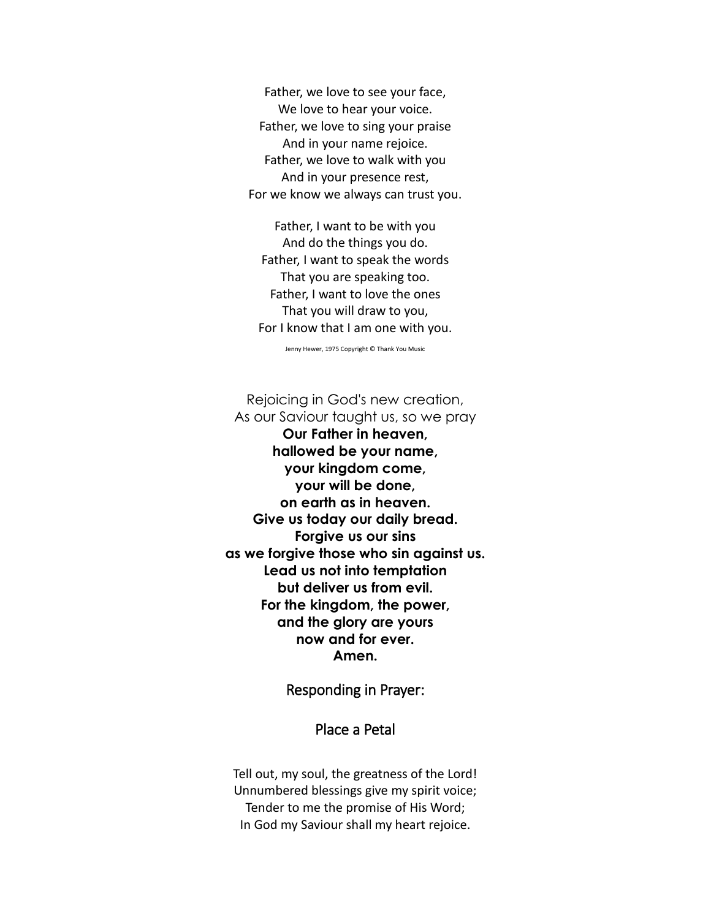Father, we love to see your face, We love to hear your voice. Father, we love to sing your praise And in your name rejoice. Father, we love to walk with you And in your presence rest, For we know we always can trust you.

Father, I want to be with you And do the things you do. Father, I want to speak the words That you are speaking too. Father, I want to love the ones That you will draw to you, For I know that I am one with you.

Jenny Hewer, 1975 Copyright © Thank You Music

Rejoicing in God's new creation, As our Saviour taught us, so we pray **Our Father in heaven, hallowed be your name, your kingdom come, your will be done, on earth as in heaven. Give us today our daily bread. Forgive us our sins as we forgive those who sin against us. Lead us not into temptation but deliver us from evil. For the kingdom, the power, and the glory are yours now and for ever. Amen.**

Responding in Prayer:

### Place a Petal

Tell out, my soul, the greatness of the Lord! Unnumbered blessings give my spirit voice; Tender to me the promise of His Word; In God my Saviour shall my heart rejoice.